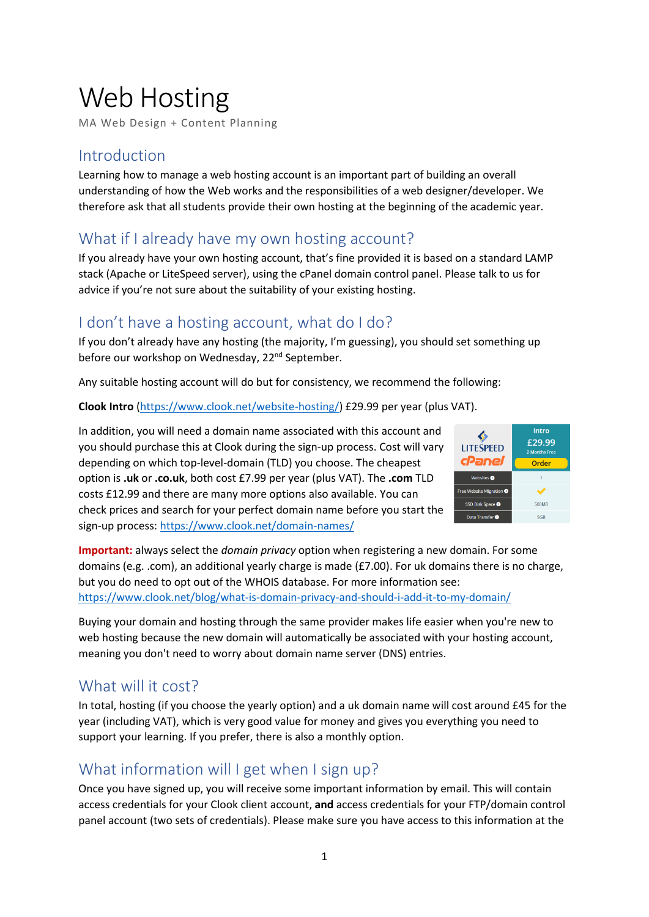# Web Hosting

MA Web Design + Content Planning

## Introduction

Learning how to manage a web hosting account is an important part of building an overall understanding of how the Web works and the responsibilities of a web designer/developer. We therefore ask that all students provide their own hosting at the beginning of the academic year.

# What if I already have my own hosting account?

If you already have your own hosting account, that's fine provided it is based on a standard LAMP stack (Apache or LiteSpeed server), using the cPanel domain control panel. Please talk to us for advice if you're not sure about the suitability of your existing hosting.

## I don't have a hosting account, what do I do?

If you don't already have any hosting (the majority, I'm guessing), you should set something up before our workshop on Wednesday, 22<sup>nd</sup> September.

Any suitable hosting account will do but for consistency, we recommend the following:

**Clook Intro** [\(https://www.clook.net/website-hosting/\)](https://www.clook.net/website-hosting/) £29.99 per year (plus VAT).

In addition, you will need a domain name associated with this account and you should purchase this at Clook during the sign-up process. Cost will vary depending on which top-level-domain (TLD) you choose. The cheapest option is **.uk** or **.co.uk**, both cost £7.99 per year (plus VAT). The **.com** TLD costs £12.99 and there are many more options also available. You can check prices and search for your perfect domain name before you start the sign-up process:<https://www.clook.net/domain-names/>



**Important:** always select the *domain privacy* option when registering a new domain. For some domains (e.g. .com), an additional yearly charge is made (£7.00). For uk domains there is no charge, but you do need to opt out of the WHOIS database. For more information see: <https://www.clook.net/blog/what-is-domain-privacy-and-should-i-add-it-to-my-domain/>

Buying your domain and hosting through the same provider makes life easier when you're new to web hosting because the new domain will automatically be associated with your hosting account, meaning you don't need to worry about domain name server (DNS) entries.

## What will it cost?

In total, hosting (if you choose the yearly option) and a uk domain name will cost around £45 for the year (including VAT), which is very good value for money and gives you everything you need to support your learning. If you prefer, there is also a monthly option.

# What information will I get when I sign up?

Once you have signed up, you will receive some important information by email. This will contain access credentials for your Clook client account, **and** access credentials for your FTP/domain control panel account (two sets of credentials). Please make sure you have access to this information at the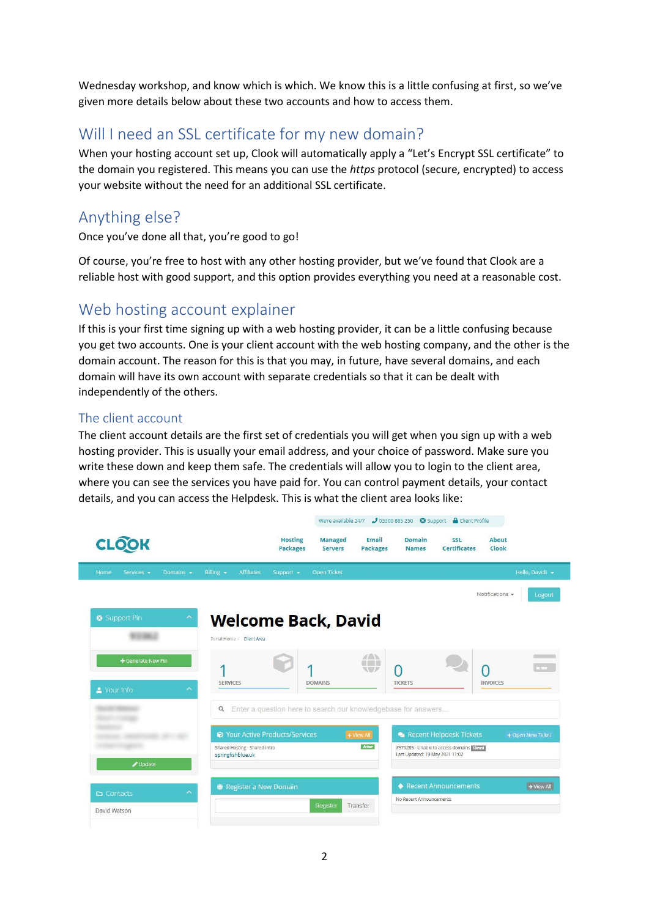Wednesday workshop, and know which is which. We know this is a little confusing at first, so we've given more details below about these two accounts and how to access them.

## Will I need an SSL certificate for my new domain?

When your hosting account set up, Clook will automatically apply a "Let's Encrypt SSL certificate" to the domain you registered. This means you can use the *https* protocol (secure, encrypted) to access your website without the need for an additional SSL certificate.

# Anything else?

Once you've done all that, you're good to go!

Of course, you're free to host with any other hosting provider, but we've found that Clook are a reliable host with good support, and this option provides everything you need at a reasonable cost.

#### Web hosting account explainer

If this is your first time signing up with a web hosting provider, it can be a little confusing because you get two accounts. One is your client account with the web hosting company, and the other is the domain account. The reason for this is that you may, in future, have several domains, and each domain will have its own account with separate credentials so that it can be dealt with independently of the others.

#### The client account

The client account details are the first set of credentials you will get when you sign up with a web hosting provider. This is usually your email address, and your choice of password. Make sure you write these down and keep them safe. The credentials will allow you to login to the client area, where you can see the services you have paid for. You can control payment details, your contact details, and you can access the Helpdesk. This is what the client area looks like:

|                                                                              | We're available 24/7 203300 885 250 29 Support & Client Profile           |                                                                                                                 |                                                                             |                           |
|------------------------------------------------------------------------------|---------------------------------------------------------------------------|-----------------------------------------------------------------------------------------------------------------|-----------------------------------------------------------------------------|---------------------------|
| <b>CLOOK</b>                                                                 | <b>Hosting</b><br><b>Packages</b>                                         | Email<br><b>Managed</b><br><b>Servers</b><br><b>Packages</b>                                                    | SSL<br><b>Domain</b><br><b>Certificates</b><br><b>Names</b>                 | <b>About</b><br>Clook     |
| Billing $\star$<br>Home<br>Services -<br>Domains $\sim$                      | <b>Affiliates</b><br>Support $\sim$                                       | <b>Open Ticket</b>                                                                                              |                                                                             | Hello, David! *           |
|                                                                              |                                                                           |                                                                                                                 |                                                                             | Notifications -<br>Logout |
| Support Pin<br><b>Welcome Back, David</b><br>×.<br>Portal Home / Client Area |                                                                           |                                                                                                                 |                                                                             |                           |
| + Generate New Pin                                                           | <b>SERVICES</b>                                                           | $\mathbb{Z} \mathbb{A}$<br>$\left( \begin{array}{cc} 1 & 1 \end{array} \right)$<br>$\sqrt{2}$<br><b>DOMAINS</b> | O<br><b>TICKETS</b>                                                         | <b>INVOICES</b>           |
| ×<br>X Your Info                                                             |                                                                           |                                                                                                                 |                                                                             |                           |
|                                                                              | Enter a question here to search our knowledgebase for answers<br>$\alpha$ |                                                                                                                 |                                                                             |                           |
|                                                                              | <b>@ Your Active Products/Services</b>                                    | + View All                                                                                                      | Recent Helpdesk Tickets                                                     | + Open New Ticket         |
|                                                                              | Shared Hosting - Shared-Intro<br>springfishblue.uk                        | Active                                                                                                          | #579285 - Unable to access domains Cosed<br>Last Updated: 19 May 2021 11:02 |                           |
| Update                                                                       |                                                                           |                                                                                                                 |                                                                             |                           |
| $\curvearrowright$<br>$\Box$ Contacts                                        | Register a New Domain                                                     |                                                                                                                 | ♦ Recent Announcements                                                      | $\rightarrow$ View All    |
| David Watson                                                                 |                                                                           | Register<br>Transfer                                                                                            | No Recent Announcements                                                     |                           |